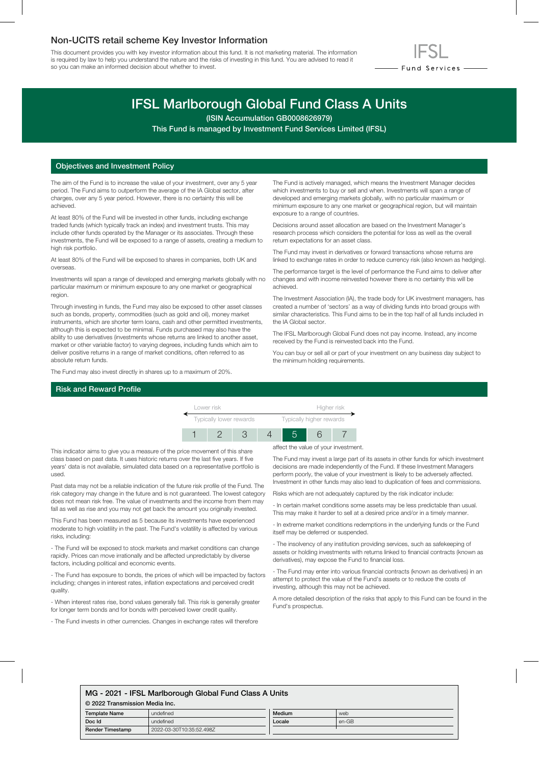## Non-UCITS retail scheme Key Investor Information

This document provides you with key investor information about this fund. It is not marketing material. The information is required by law to help you understand the nature and the risks of investing in this fund. You are advised to read it so you can make an informed decision about whether to invest.



# IFSL Marlborough Global Fund Class A Units

(ISIN Accumulation GB0008626979)

This Fund is managed by Investment Fund Services Limited (IFSL)

### Objectives and Investment Policy

The aim of the Fund is to increase the value of your investment, over any 5 year period. The Fund aims to outperform the average of the IA Global sector, after charges, over any 5 year period. However, there is no certainty this will be achieved.

At least 80% of the Fund will be invested in other funds, including exchange traded funds (which typically track an index) and investment trusts. This may include other funds operated by the Manager or its associates. Through these investments, the Fund will be exposed to a range of assets, creating a medium to high risk portfolio.

At least 80% of the Fund will be exposed to shares in companies, both UK and overseas.

Investments will span a range of developed and emerging markets globally with no particular maximum or minimum exposure to any one market or geographical region.

Through investing in funds, the Fund may also be exposed to other asset classes such as bonds, property, commodities (such as gold and oil), money market instruments, which are shorter term loans, cash and other permitted investments, although this is expected to be minimal. Funds purchased may also have the ability to use derivatives (investments whose returns are linked to another asset, market or other variable factor) to varying degrees, including funds which aim to deliver positive returns in a range of market conditions, often referred to as absolute return funds.

The Fund may also invest directly in shares up to a maximum of 20%.

#### Risk and Reward Profile

The Fund is actively managed, which means the Investment Manager decides which investments to buy or sell and when. Investments will span a range of developed and emerging markets globally, with no particular maximum or minimum exposure to any one market or geographical region, but will maintain exposure to a range of countries.

Decisions around asset allocation are based on the Investment Manager's research process which considers the potential for loss as well as the overall return expectations for an asset class.

The Fund may invest in derivatives or forward transactions whose returns are linked to exchange rates in order to reduce currency risk (also known as hedging).

The performance target is the level of performance the Fund aims to deliver after changes and with income reinvested however there is no certainty this will be achieved.

The Investment Association (IA), the trade body for UK investment managers, has created a number of 'sectors' as a way of dividing funds into broad groups with similar characteristics. This Fund aims to be in the top half of all funds included in the IA Global sector.

The IFSL Marlborough Global Fund does not pay income. Instead, any income received by the Fund is reinvested back into the Fund.

You can buy or sell all or part of your investment on any business day subject to the minimum holding requirements.

| Lower risk              |  |  |  | Higher risk              |  |  |
|-------------------------|--|--|--|--------------------------|--|--|
| Typically lower rewards |  |  |  | Typically higher rewards |  |  |
|                         |  |  |  |                          |  |  |

This indicator aims to give you a measure of the price movement of this share class based on past data. It uses historic returns over the last five years. If five years' data is not available, simulated data based on a representative portfolio is used.

Past data may not be a reliable indication of the future risk profile of the Fund. The risk category may change in the future and is not guaranteed. The lowest category does not mean risk free. The value of investments and the income from them may fall as well as rise and you may not get back the amount you originally invested.

This Fund has been measured as 5 because its investments have experienced moderate to high volatility in the past. The Fund's volatility is affected by various risks, including:

- The Fund will be exposed to stock markets and market conditions can change rapidly. Prices can move irrationally and be affected unpredictably by diverse factors, including political and economic events.

- The Fund has exposure to bonds, the prices of which will be impacted by factors including; changes in interest rates, inflation expectations and perceived credit quality.

- When interest rates rise, bond values generally fall. This risk is generally greater for longer term bonds and for bonds with perceived lower credit quality.

- The Fund invests in other currencies. Changes in exchange rates will therefore

affect the value of your investment.

The Fund may invest a large part of its assets in other funds for which investment decisions are made independently of the Fund. If these Investment Managers perform poorly, the value of your investment is likely to be adversely affected. Investment in other funds may also lead to duplication of fees and commissions.

Risks which are not adequately captured by the risk indicator include:

- In certain market conditions some assets may be less predictable than usual. This may make it harder to sell at a desired price and/or in a timely manner.

- In extreme market conditions redemptions in the underlying funds or the Fund itself may be deferred or suspended.

- The insolvency of any institution providing services, such as safekeeping of assets or holding investments with returns linked to financial contracts (known as derivatives), may expose the Fund to financial loss.

- The Fund may enter into various financial contracts (known as derivatives) in an attempt to protect the value of the Fund's assets or to reduce the costs of investing, although this may not be achieved.

A more detailed description of the risks that apply to this Fund can be found in the Fund's prospectus.